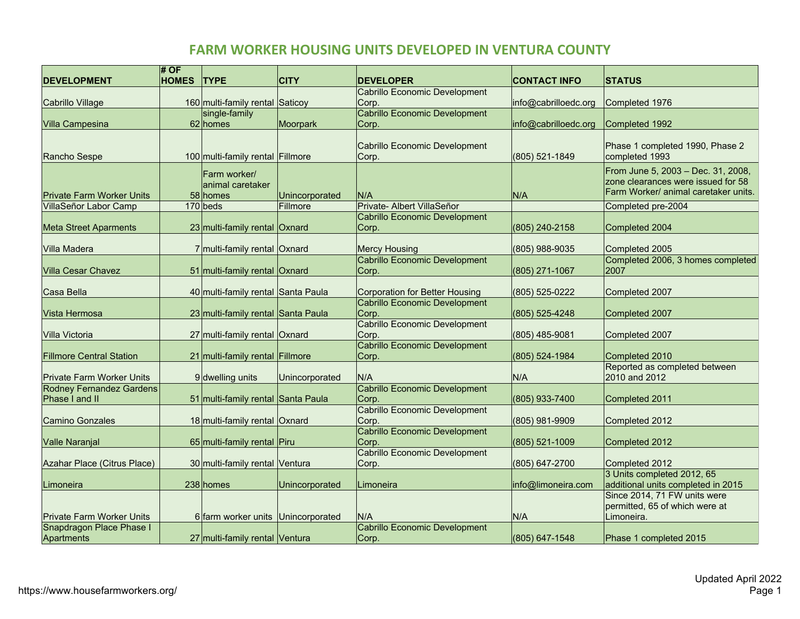## **FARM WORKER HOUSING UNITS DEVELOPED IN VENTURA COUNTY**

| <b>DEVELOPMENT</b>               | # OF<br><b>HOMES</b> | <b>TYPE</b>                        | <b>CITY</b>    | <b>DEVELOPER</b>                                      | <b>CONTACT INFO</b>  | <b>STATUS</b>                                                  |
|----------------------------------|----------------------|------------------------------------|----------------|-------------------------------------------------------|----------------------|----------------------------------------------------------------|
|                                  |                      |                                    |                | Cabrillo Economic Development                         |                      |                                                                |
| Cabrillo Village                 |                      | 160 multi-family rental Saticoy    |                | Corp.                                                 | info@cabrilloedc.org | Completed 1976                                                 |
|                                  |                      | single-family                      |                | Cabrillo Economic Development                         |                      |                                                                |
| <b>Villa Campesina</b>           |                      | 62 homes                           | Moorpark       | Corp.                                                 | info@cabrilloedc.org | Completed 1992                                                 |
|                                  |                      |                                    |                | Cabrillo Economic Development                         |                      | Phase 1 completed 1990, Phase 2                                |
| Rancho Sespe                     |                      | 100 multi-family rental Fillmore   |                | Corp.                                                 | (805) 521-1849       | completed 1993                                                 |
|                                  |                      | Farm worker/                       |                |                                                       |                      | From June 5, 2003 - Dec. 31, 2008,                             |
|                                  |                      | animal caretaker                   |                |                                                       |                      | zone clearances were issued for 58                             |
| <b>Private Farm Worker Units</b> |                      | 58 homes                           | Unincorporated | N/A                                                   | N/A                  | Farm Worker/ animal caretaker units.                           |
| VillaSeñor Labor Camp            |                      | $170$ beds                         | Fillmore       | Private- Albert VillaSeñor                            |                      | Completed pre-2004                                             |
|                                  |                      |                                    |                | Cabrillo Economic Development                         |                      |                                                                |
| <b>Meta Street Aparments</b>     |                      | 23 multi-family rental Oxnard      |                | Corp.                                                 | (805) 240-2158       | Completed 2004                                                 |
|                                  |                      |                                    |                |                                                       |                      |                                                                |
| Villa Madera                     |                      | 7 multi-family rental Oxnard       |                | <b>Mercy Housing</b><br>Cabrillo Economic Development | (805) 988-9035       | Completed 2005<br>Completed 2006, 3 homes completed            |
| <b>Villa Cesar Chavez</b>        |                      | 51 multi-family rental Oxnard      |                | Corp.                                                 | (805) 271-1067       | 2007                                                           |
|                                  |                      |                                    |                |                                                       |                      |                                                                |
| Casa Bella                       |                      | 40 multi-family rental Santa Paula |                | <b>Corporation for Better Housing</b>                 | (805) 525-0222       | Completed 2007                                                 |
|                                  |                      |                                    |                | Cabrillo Economic Development                         |                      |                                                                |
| Vista Hermosa                    |                      | 23 multi-family rental Santa Paula |                | Corp.                                                 | (805) 525-4248       | Completed 2007                                                 |
|                                  |                      |                                    |                | Cabrillo Economic Development                         |                      |                                                                |
| Villa Victoria                   |                      | 27 multi-family rental Oxnard      |                | Corp.<br>Cabrillo Economic Development                | (805) 485-9081       | Completed 2007                                                 |
| <b>Fillmore Central Station</b>  |                      | 21 multi-family rental Fillmore    |                | Corp.                                                 | (805) 524-1984       | Completed 2010                                                 |
|                                  |                      |                                    |                |                                                       |                      | Reported as completed between                                  |
| <b>Private Farm Worker Units</b> |                      | 9 dwelling units                   | Unincorporated | N/A                                                   | N/A                  | 2010 and 2012                                                  |
| <b>Rodney Fernandez Gardens</b>  |                      |                                    |                | Cabrillo Economic Development                         |                      |                                                                |
| Phase I and II                   |                      | 51 multi-family rental Santa Paula |                | Corp.                                                 | (805) 933-7400       | Completed 2011                                                 |
|                                  |                      |                                    |                | Cabrillo Economic Development                         |                      |                                                                |
| <b>Camino Gonzales</b>           |                      | 18 multi-family rental Oxnard      |                | Corp.<br>Cabrillo Economic Development                | (805) 981-9909       | Completed 2012                                                 |
| <b>Valle Naranjal</b>            |                      | 65 multi-family rental Piru        |                | Corp.                                                 | (805) 521-1009       | Completed 2012                                                 |
|                                  |                      |                                    |                | Cabrillo Economic Development                         |                      |                                                                |
| Azahar Place (Citrus Place)      |                      | 30 multi-family rental Ventura     |                | Corp.                                                 | (805) 647-2700       | Completed 2012                                                 |
|                                  |                      |                                    |                |                                                       |                      | 3 Units completed 2012, 65                                     |
| Limoneira                        |                      | 238 homes                          | Unincorporated | Limoneira                                             | info@limoneira.com   | additional units completed in 2015                             |
|                                  |                      |                                    |                |                                                       |                      | Since 2014, 71 FW units were<br>permitted, 65 of which were at |
| <b>Private Farm Worker Units</b> |                      | 6 farm worker units Unincorporated |                | N/A                                                   | N/A                  | Limoneira.                                                     |
| Snapdragon Place Phase I         |                      |                                    |                | Cabrillo Economic Development                         |                      |                                                                |
| Apartments                       |                      | 27 multi-family rental Ventura     |                | Corp.                                                 | (805) 647-1548       | Phase 1 completed 2015                                         |